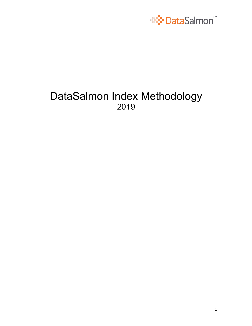

#### DataSalmon Index Methodology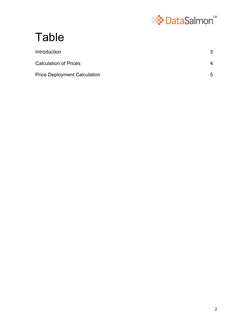

# Table

| Introduction                        |   |
|-------------------------------------|---|
| <b>Calculation of Prices</b>        | 4 |
| <b>Price Deployment Calculation</b> | 5 |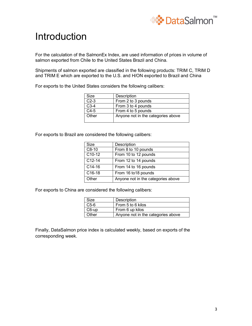

## Introduction

For the calculation of the SalmonEx Index, are used information of prices in volume of salmon exported from Chile to the United States Brazil and China.

Shipments of salmon exported are classified in the following products: TRIM C, TRIM D and TRIM E which are exported to the U.S. and H/ON exported to Brazil and China

For exports to the United States considers the following calibers:

| Size   | Description                        |
|--------|------------------------------------|
| $C2-3$ | From 2 to 3 pounds                 |
| $C3-4$ | From 3 to 4 pounds                 |
| $C4-5$ | From 4 to 5 pounds                 |
| Other  | Anyone not in the categories above |

For exports to Brazil are considered the following calibers:

| Size     | Description                        |
|----------|------------------------------------|
| $C8-10$  | From 8 to 10 pounds                |
| C10-12   | From 10 to 12 pounds               |
| $C12-14$ | From 12 to 14 pounds               |
| C14-16   | From 14 to 16 pounds               |
| C16-18   | From 16 to 18 pounds               |
| Other    | Anyone not in the categories above |

For exports to China are considered the following calibers:

| Size   | Description                        |
|--------|------------------------------------|
| $C5-6$ | From 5 to 6 kilos                  |
| C6-up  | From 6 up kilos                    |
| Other  | Anyone not in the categories above |

Finally, DataSalmon price index is calculated weekly, based on exports of the corresponding week.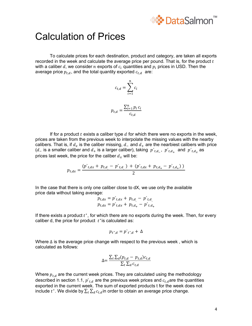

#### Calculation of Prices

To calculate prices for each destination, product and category, are taken all exports recorded in the week and calculate the average price per pound. That is, for the product  $t$ with a caliber d, we consider n exports of  $c_i$  quantities and  $p_i$  prices in USD. Then the average price  $p_{t,d}$ , and the total quantity exported  $c_{t,d}$  are:

$$
c_{t,d} = \sum_{i=1}^{n} c_i
$$

$$
\sum_{i=1}^{n} p_i
$$

$$
p_{t,d} = \frac{\sum_{i=1}^{n} p_i c_i}{c_{t,d}}
$$

If for a product  $t$  exists a caliber type  $d$  for which there were no exports in the week, prices are taken from the previous week to interpolate the missing values with the nearby calibers. That is, if  $d_x$  is the caliber missing,  $d_{-}$  and  $d_{+}$  are the nearbiest calibers with price (d\_ is a smaller caliber and  $d_+$  is a larger caliber), taking  $p'_{t,d_-}$ ,  $p'_{t,d_+}$  and  $p'_{t,d_x}$  as prices last week, the price for the caliber  $d_x$  will be:

$$
p_{t,dx} = \frac{(p \dot{r}_{t,dx} + p_{t,d} - p \dot{r}_{t,d}) + (p \dot{r}_{t,dx} + p_{t,d} - p \dot{r}_{t,d}))}{2}
$$

In the case that there is only one caliber close to dX, we use only the available price data without taking average:

$$
p_{t,dx} = p_{t,dx} + p_{t,d} - p_{t,d} p_{t,dx} = p_{t,dx} + p_{t,d+} - p_{t,d+}
$$

If there exists a product  $t^*$ , for which there are no exports during the week. Then, for every caliber d, the price for product  $t^*$  is calculated as:

$$
p_{t^*,d} = p_{t^*,d} + \Delta
$$

Where ∆ is the average price change with respect to the previous week, which is calculated as follows:

$$
\Delta = \frac{\sum_{t} \sum_{d} (p_{t,d} - p_{t,d}) c_{t,d}}{\sum_{t} \sum_{d} c_{t,d}}
$$

Where  $p_{t,d}$  are the current week prices. They are calculated using the methodology described in section 1.1,  $\hat{p}_{t,d}$  are the previous week prices and  $c_{t,d}$  are the quantities exported in the current week. The sum of exported products t for the week does not include  $t^*$ . We divide by  $\sum_{t} \sum_{d} c_{t,d}$ in order to obtain an average price change.